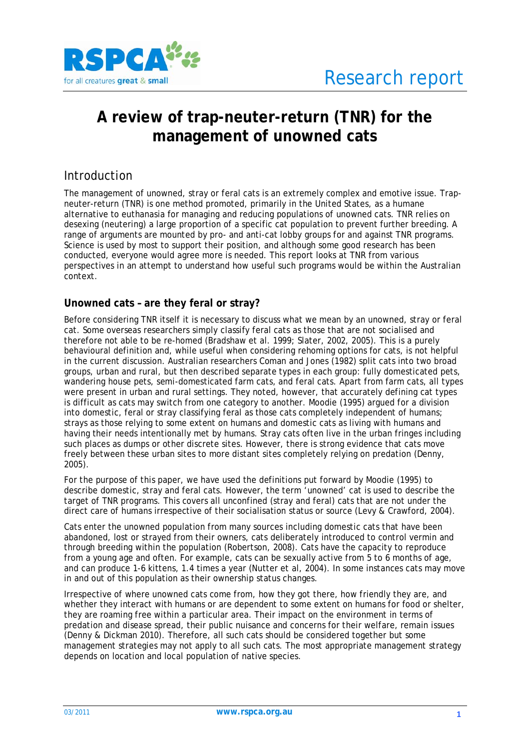

# **A review of trap-neuter-return (TNR) for the management of unowned cats**

## Introduction

The management of unowned, stray or feral cats is an extremely complex and emotive issue. Trapneuter-return (TNR) is one method promoted, primarily in the United States, as a humane alternative to euthanasia for managing and reducing populations of unowned cats. TNR relies on desexing (neutering) a large proportion of a specific cat population to prevent further breeding. A range of arguments are mounted by pro- and anti-cat lobby groups for and against TNR programs. Science is used by most to support their position, and although some good research has been conducted, everyone would agree more is needed. This report looks at TNR from various perspectives in an attempt to understand how useful such programs would be within the Australian context.

## **Unowned cats – are they feral or stray?**

Before considering TNR itself it is necessary to discuss what we mean by an unowned, stray or feral cat. Some overseas researchers simply classify feral cats as those that are not socialised and therefore not able to be re-homed (Bradshaw et al. 1999; Slater, 2002, 2005). This is a purely behavioural definition and, while useful when considering rehoming options for cats, is not helpful in the current discussion. Australian researchers Coman and Jones (1982) split cats into two broad groups, urban and rural, but then described separate types in each group: fully domesticated pets, wandering house pets, semi-domesticated farm cats, and feral cats. Apart from farm cats, all types were present in urban and rural settings. They noted, however, that accurately defining cat types is difficult as cats may switch from one category to another. Moodie (1995) argued for a division into domestic, feral or stray classifying feral as those cats completely independent of humans; strays as those relying to some extent on humans and domestic cats as living with humans and having their needs intentionally met by humans. Stray cats often live in the urban fringes including such places as dumps or other discrete sites. However, there is strong evidence that cats move freely between these urban sites to more distant sites completely relying on predation (Denny, 2005).

For the purpose of this paper, we have used the definitions put forward by Moodie (1995) to describe domestic, stray and feral cats. However, the term 'unowned' cat is used to describe the target of TNR programs. This covers all unconfined (stray and feral) cats that are not under the direct care of humans irrespective of their socialisation status or source (Levy & Crawford, 2004).

Cats enter the unowned population from many sources including domestic cats that have been abandoned, lost or strayed from their owners, cats deliberately introduced to control vermin and through breeding within the population (Robertson, 2008). Cats have the capacity to reproduce from a young age and often. For example, cats can be sexually active from 5 to 6 months of age, and can produce 1-6 kittens, 1.4 times a year (Nutter et al, 2004). In some instances cats may move in and out of this population as their ownership status changes.

Irrespective of where unowned cats come from, how they got there, how friendly they are, and whether they interact with humans or are dependent to some extent on humans for food or shelter, they are roaming free within a particular area. Their impact on the environment in terms of predation and disease spread, their public nuisance and concerns for their welfare, remain issues (Denny & Dickman 2010). Therefore, all such cats should be considered together but some management strategies may not apply to all such cats. The most appropriate management strategy depends on location and local population of native species.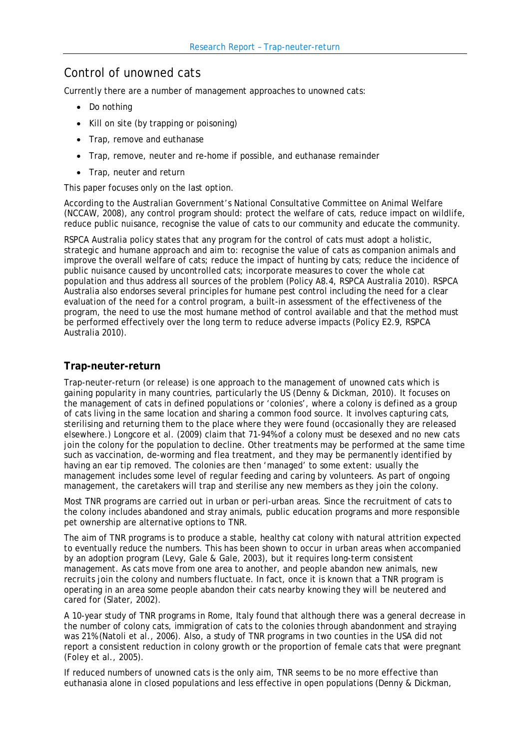# Control of unowned cats

Currently there are a number of management approaches to unowned cats:

- Do nothing
- Kill on site (by trapping or poisoning)
- Trap, remove and euthanase
- Trap, remove, neuter and re-home if possible, and euthanase remainder
- Trap, neuter and return

This paper focuses only on the last option.

According to the Australian Government's National Consultative Committee on Animal Welfare (NCCAW, 2008), any control program should: protect the welfare of cats, reduce impact on wildlife, reduce public nuisance, recognise the value of cats to our community and educate the community.

RSPCA Australia policy states that any program for the control of cats must adopt a holistic, strategic and humane approach and aim to: recognise the value of cats as companion animals and improve the overall welfare of cats; reduce the impact of hunting by cats; reduce the incidence of public nuisance caused by uncontrolled cats; incorporate measures to cover the whole cat population and thus address all sources of the problem (Policy A8.4, RSPCA Australia 2010). RSPCA Australia also endorses several principles for humane pest control including the need for a clear evaluation of the need for a control program, a built-in assessment of the effectiveness of the program, the need to use the most humane method of control available and that the method must be performed effectively over the long term to reduce adverse impacts (Policy E2.9, RSPCA Australia 2010).

## **Trap-neuter-return**

Trap-neuter-return (or release) is one approach to the management of unowned cats which is gaining popularity in many countries, particularly the US (Denny & Dickman, 2010). It focuses on the management of cats in defined populations or 'colonies', where a colony is defined as a group of cats living in the same location and sharing a common food source. It involves capturing cats, sterilising and returning them to the place where they were found (occasionally they are released elsewhere.) Longcore et al. (2009) claim that 71-94% of a colony must be desexed and no new cats join the colony for the population to decline. Other treatments may be performed at the same time such as vaccination, de-worming and flea treatment, and they may be permanently identified by having an ear tip removed. The colonies are then 'managed' to some extent: usually the management includes some level of regular feeding and caring by volunteers. As part of ongoing management, the caretakers will trap and sterilise any new members as they join the colony.

Most TNR programs are carried out in urban or peri-urban areas. Since the recruitment of cats to the colony includes abandoned and stray animals, public education programs and more responsible pet ownership are alternative options to TNR.

The aim of TNR programs is to produce a stable, healthy cat colony with natural attrition expected to eventually reduce the numbers. This has been shown to occur in urban areas when accompanied by an adoption program (Levy, Gale & Gale, 2003), but it requires long-term consistent management. As cats move from one area to another, and people abandon new animals, new recruits join the colony and numbers fluctuate. In fact, once it is known that a TNR program is operating in an area some people abandon their cats nearby knowing they will be neutered and cared for (Slater, 2002).

A 10-year study of TNR programs in Rome, Italy found that although there was a general decrease in the number of colony cats, immigration of cats to the colonies through abandonment and straying was 21% (Natoli et al., 2006). Also, a study of TNR programs in two counties in the USA did not report a consistent reduction in colony growth or the proportion of female cats that were pregnant (Foley et al., 2005).

If reduced numbers of unowned cats is the only aim, TNR seems to be no more effective than euthanasia alone in closed populations and less effective in open populations (Denny & Dickman,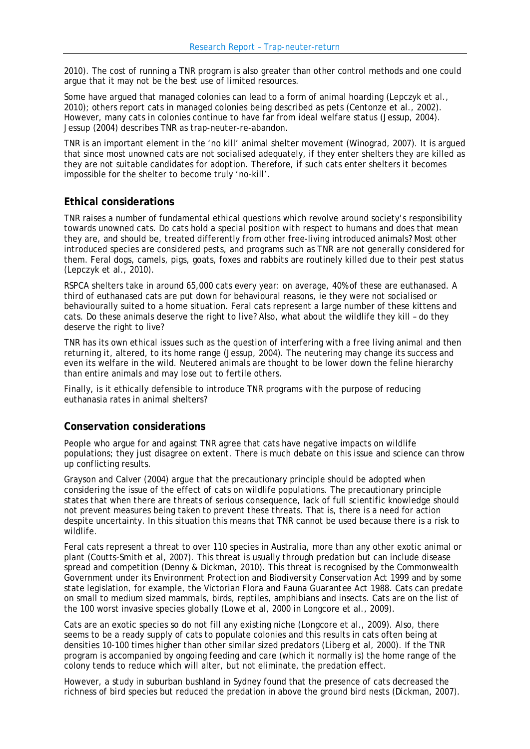2010). The cost of running a TNR program is also greater than other control methods and one could argue that it may not be the best use of limited resources.

Some have argued that managed colonies can lead to a form of animal hoarding (Lepczyk et al., 2010); others report cats in managed colonies being described as pets (Centonze et al., 2002). However, many cats in colonies continue to have far from ideal welfare status (Jessup, 2004). Jessup (2004) describes TNR as trap-neuter-re-abandon.

TNR is an important element in the 'no kill' animal shelter movement (Winograd, 2007). It is argued that since most unowned cats are not socialised adequately, if they enter shelters they are killed as they are not suitable candidates for adoption. Therefore, if such cats enter shelters it becomes impossible for the shelter to become truly 'no-kill'.

### **Ethical considerations**

TNR raises a number of fundamental ethical questions which revolve around society's responsibility towards unowned cats. Do cats hold a special position with respect to humans and does that mean they are, and should be, treated differently from other free-living introduced animals? Most other introduced species are considered pests, and programs such as TNR are not generally considered for them. Feral dogs, camels, pigs, goats, foxes and rabbits are routinely killed due to their pest status (Lepczyk et al., 2010).

RSPCA shelters take in around 65,000 cats every year: on average, 40% of these are euthanased. A third of euthanased cats are put down for behavioural reasons, ie they were not socialised or behaviourally suited to a home situation. Feral cats represent a large number of these kittens and cats. Do these animals deserve the right to live? Also, what about the wildlife they kill – do they deserve the right to live?

TNR has its own ethical issues such as the question of interfering with a free living animal and then returning it, altered, to its home range (Jessup, 2004). The neutering may change its success and even its welfare in the wild. Neutered animals are thought to be lower down the feline hierarchy than entire animals and may lose out to fertile others.

Finally, is it ethically defensible to introduce TNR programs with the purpose of reducing euthanasia rates in animal shelters?

### **Conservation considerations**

People who argue for and against TNR agree that cats have negative impacts on wildlife populations; they just disagree on extent. There is much debate on this issue and science can throw up conflicting results.

Grayson and Calver (2004) argue that the precautionary principle should be adopted when considering the issue of the effect of cats on wildlife populations. The precautionary principle states that when there are threats of serious consequence, lack of full scientific knowledge should not prevent measures being taken to prevent these threats. That is, there is a need for action despite uncertainty. In this situation this means that TNR cannot be used because there is a risk to wildlife.

Feral cats represent a threat to over 110 species in Australia, more than any other exotic animal or plant (Coutts-Smith et al, 2007). This threat is usually through predation but can include disease spread and competition (Denny & Dickman, 2010). This threat is recognised by the Commonwealth Government under its *Environment Protection and Biodiversity Conservation Act 1999* and by some state legislation, for example, the Victorian *Flora and Fauna Guarantee Act 1988*. Cats can predate on small to medium sized mammals, birds, reptiles, amphibians and insects. Cats are on the list of the 100 worst invasive species globally (Lowe et al, 2000 in Longcore et al., 2009).

Cats are an exotic species so do not fill any existing niche (Longcore et al., 2009). Also, there seems to be a ready supply of cats to populate colonies and this results in cats often being at densities 10-100 times higher than other similar sized predators (Liberg et al, 2000). If the TNR program is accompanied by ongoing feeding and care (which it normally is) the home range of the colony tends to reduce which will alter, but not eliminate, the predation effect.

However, a study in suburban bushland in Sydney found that the presence of cats decreased the richness of bird species but reduced the predation in above the ground bird nests (Dickman, 2007).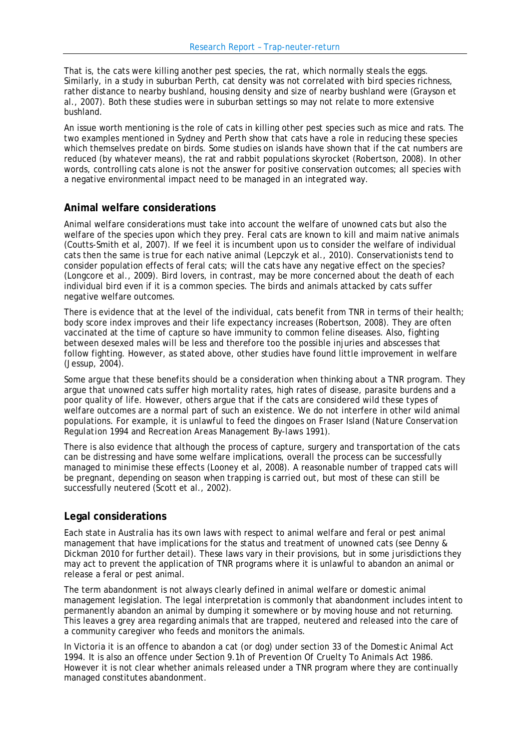That is, the cats were killing another pest species, the rat, which normally steals the eggs. Similarly, in a study in suburban Perth, cat density was not correlated with bird species richness, rather distance to nearby bushland, housing density and size of nearby bushland were (Grayson et al., 2007). Both these studies were in suburban settings so may not relate to more extensive bushland.

An issue worth mentioning is the role of cats in killing other pest species such as mice and rats. The two examples mentioned in Sydney and Perth show that cats have a role in reducing these species which themselves predate on birds. Some studies on islands have shown that if the cat numbers are reduced (by whatever means), the rat and rabbit populations skyrocket (Robertson, 2008). In other words, controlling cats alone is not the answer for positive conservation outcomes; all species with a negative environmental impact need to be managed in an integrated way.

### **Animal welfare considerations**

Animal welfare considerations must take into account the welfare of unowned cats but also the welfare of the species upon which they prey. Feral cats are known to kill and maim native animals (Coutts-Smith et al, 2007). If we feel it is incumbent upon us to consider the welfare of individual cats then the same is true for each native animal (Lepczyk et al., 2010). Conservationists tend to consider population effects of feral cats; will the cats have any negative effect on the species? (Longcore et al., 2009). Bird lovers, in contrast, may be more concerned about the death of each individual bird even if it is a common species. The birds and animals attacked by cats suffer negative welfare outcomes.

There is evidence that at the level of the individual, cats benefit from TNR in terms of their health; body score index improves and their life expectancy increases (Robertson, 2008). They are often vaccinated at the time of capture so have immunity to common feline diseases. Also, fighting between desexed males will be less and therefore too the possible injuries and abscesses that follow fighting. However, as stated above, other studies have found little improvement in welfare (Jessup, 2004).

Some argue that these benefits should be a consideration when thinking about a TNR program. They argue that unowned cats suffer high mortality rates, high rates of disease, parasite burdens and a poor quality of life. However, others argue that if the cats are considered wild these types of welfare outcomes are a normal part of such an existence. We do not interfere in other wild animal populations. For example, it is unlawful to feed the dingoes on Fraser Island (*Nature Conservation Regulation 1994* and *Recreation Areas Management By-laws 1991).* 

There is also evidence that although the process of capture, surgery and transportation of the cats can be distressing and have some welfare implications, overall the process can be successfully managed to minimise these effects (Looney et al, 2008). A reasonable number of trapped cats will be pregnant, depending on season when trapping is carried out, but most of these can still be successfully neutered (Scott et al., 2002).

#### **Legal considerations**

Each state in Australia has its own laws with respect to animal welfare and feral or pest animal management that have implications for the status and treatment of unowned cats (see Denny & Dickman 2010 for further detail). These laws vary in their provisions, but in some jurisdictions they may act to prevent the application of TNR programs where it is unlawful to abandon an animal or release a feral or pest animal.

The term abandonment is not always clearly defined in animal welfare or domestic animal management legislation. The legal interpretation is commonly that abandonment includes intent to permanently abandon an animal by dumping it somewhere or by moving house and not returning. This leaves a grey area regarding animals that are trapped, neutered and released into the care of a community caregiver who feeds and monitors the animals.

In Victoria it is an offence to abandon a cat (or dog) under section 33 of the *Domestic Animal Act 1994*. It is also an offence under Section 9.1h of *Prevention Of Cruelty To Animals Act 1986*. However it is not clear whether animals released under a TNR program where they are continually managed constitutes abandonment.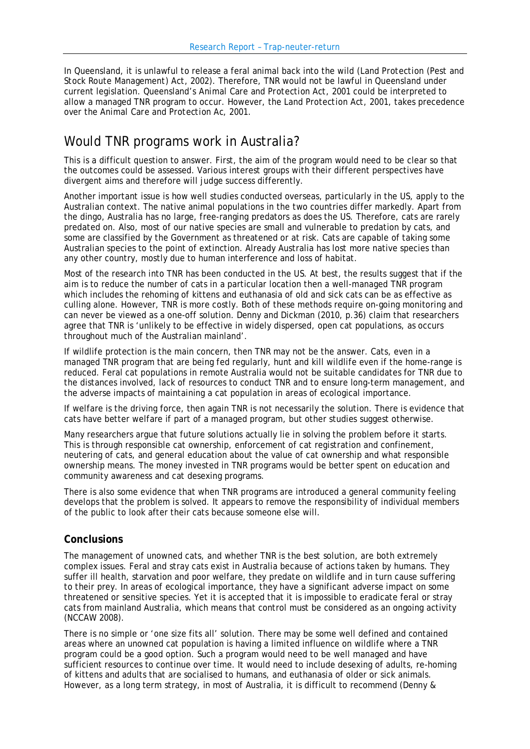In Queensland, it is unlawful to release a feral animal back into the wild (*Land Protection (Pest and Stock Route Management) Act, 2002)*. Therefore, TNR would not be lawful in Queensland under current legislation. Queensland's *Animal Care and Protection Act, 2001* could be interpreted to allow a managed TNR program to occur. However, the *Land Protection Act, 2001*, takes precedence over the *Animal Care and Protection Ac, 2001*.

# Would TNR programs work in Australia?

This is a difficult question to answer. First, the aim of the program would need to be clear so that the outcomes could be assessed. Various interest groups with their different perspectives have divergent aims and therefore will judge success differently.

Another important issue is how well studies conducted overseas, particularly in the US, apply to the Australian context. The native animal populations in the two countries differ markedly. Apart from the dingo, Australia has no large, free-ranging predators as does the US. Therefore, cats are rarely predated on. Also, most of our native species are small and vulnerable to predation by cats, and some are classified by the Government as threatened or at risk. Cats are capable of taking some Australian species to the point of extinction. Already Australia has lost more native species than any other country, mostly due to human interference and loss of habitat.

Most of the research into TNR has been conducted in the US. At best, the results suggest that if the aim is to reduce the number of cats in a particular location then a well-managed TNR program which includes the rehoming of kittens and euthanasia of old and sick cats can be as effective as culling alone. However, TNR is more costly. Both of these methods require on-going monitoring and can never be viewed as a one-off solution. Denny and Dickman (2010, p.36) claim that researchers agree that TNR is 'unlikely to be effective in widely dispersed, open cat populations, as occurs throughout much of the Australian mainland'.

If wildlife protection is the main concern, then TNR may not be the answer. Cats, even in a managed TNR program that are being fed regularly, hunt and kill wildlife even if the home-range is reduced. Feral cat populations in remote Australia would not be suitable candidates for TNR due to the distances involved, lack of resources to conduct TNR and to ensure long-term management, and the adverse impacts of maintaining a cat population in areas of ecological importance.

If welfare is the driving force, then again TNR is not necessarily the solution. There is evidence that cats have better welfare if part of a managed program, but other studies suggest otherwise.

Many researchers argue that future solutions actually lie in solving the problem before it starts. This is through responsible cat ownership, enforcement of cat registration and confinement, neutering of cats, and general education about the value of cat ownership and what responsible ownership means. The money invested in TNR programs would be better spent on education and community awareness and cat desexing programs.

There is also some evidence that when TNR programs are introduced a general community feeling develops that the problem is solved. It appears to remove the responsibility of individual members of the public to look after their cats because someone else will.

#### **Conclusions**

The management of unowned cats, and whether TNR is the best solution, are both extremely complex issues. Feral and stray cats exist in Australia because of actions taken by humans. They suffer ill health, starvation and poor welfare, they predate on wildlife and in turn cause suffering to their prey. In areas of ecological importance, they have a significant adverse impact on some threatened or sensitive species. Yet it is accepted that it is impossible to eradicate feral or stray cats from mainland Australia, which means that control must be considered as an ongoing activity (NCCAW 2008).

There is no simple or 'one size fits all' solution. There may be some well defined and contained areas where an unowned cat population is having a limited influence on wildlife where a TNR program could be a good option. Such a program would need to be well managed and have sufficient resources to continue over time. It would need to include desexing of adults, re-homing of kittens and adults that are socialised to humans, and euthanasia of older or sick animals. However, as a long term strategy, in most of Australia, it is difficult to recommend (Denny &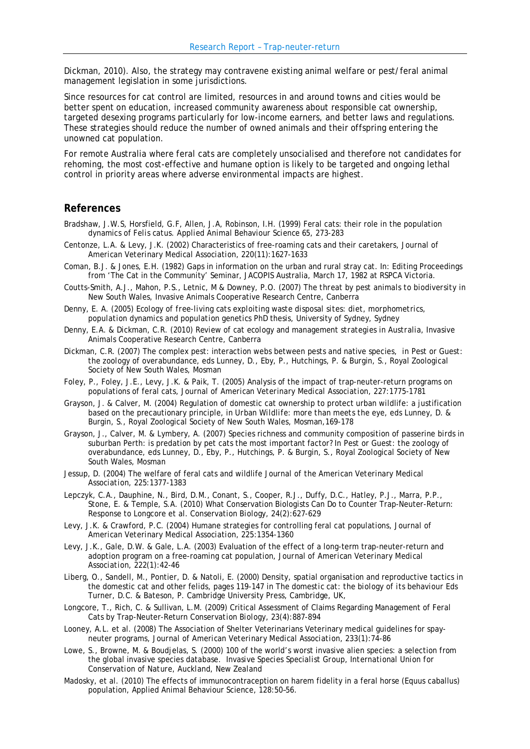Dickman, 2010). Also, the strategy may contravene existing animal welfare or pest/feral animal management legislation in some jurisdictions.

Since resources for cat control are limited, resources in and around towns and cities would be better spent on education, increased community awareness about responsible cat ownership, targeted desexing programs particularly for low-income earners, and better laws and regulations. These strategies should reduce the number of owned animals and their offspring entering the unowned cat population.

For remote Australia where feral cats are completely unsocialised and therefore not candidates for rehoming, the most cost-effective and humane option is likely to be targeted and ongoing lethal control in priority areas where adverse environmental impacts are highest.

#### **References**

- Bradshaw, J.W.S, Horsfield, G.F, Allen, J.A, Robinson, I.H. (1999) Feral cats: their role in the population dynamics of *Felis catus. Applied Animal Behaviour Science* 65, 273-283
- Centonze, L.A. & Levy, J.K. (2002) Characteristics of free-roaming cats and their caretakers, *Journal of American Veterinary Medical Association,* 220(11):1627-1633
- Coman, B.J. & Jones, E.H. (1982) Gaps in information on the urban and rural stray cat. In: Editing Proceedings from 'The Cat in the Community' Seminar, JACOPIS Australia, March 17, 1982 at RSPCA Victoria.
- Coutts-Smith, A.J., Mahon, P.S., Letnic, M & Downey, P.O. (2007) *The threat by pest animals to biodiversity in New South Wales*, Invasive Animals Cooperative Research Centre, Canberra
- Denny, E. A. (2005) *Ecology of free-living cats exploiting waste disposal sites: diet, morphometrics, population dynamics and population genetics* PhD thesis, University of Sydney, Sydney
- Denny, E.A. & Dickman, C.R. (2010) *Review of cat ecology and management strategies in Australia,* Invasive Animals Cooperative Research Centre, Canberra
- Dickman, C.R. (2007) The complex pest: interaction webs between pests and native species, in *Pest or Guest: the zoology of overabundance*, eds Lunney, D., Eby, P., Hutchings, P. & Burgin, S., Royal Zoological Society of New South Wales, Mosman
- Foley, P., Foley, J.E., Levy, J.K. & Paik, T. (2005) Analysis of the impact of trap-neuter-return programs on populations of feral cats, *Journal of American Veterinary Medical Association*, 227:1775-1781
- Grayson, J. & Calver, M. (2004) Regulation of domestic cat ownership to protect urban wildlife: a justification based on the precautionary principle, in *Urban Wildlife: more than meets the eye*, eds Lunney, D. & Burgin, S., Royal Zoological Society of New South Wales, Mosman,169-178
- Grayson, J., Calver, M. & Lymbery, A. (2007) Species richness and community composition of passerine birds in suburban Perth: is predation by pet cats the most important factor? In *Pest or Guest: the zoology of overabundance*, eds Lunney, D., Eby, P., Hutchings, P. & Burgin, S., Royal Zoological Society of New South Wales, Mosman
- Jessup, D. (2004) The welfare of feral cats and wildlife *Journal of the American Veterinary Medical Association,* 225:1377-1383
- Lepczyk, C.A., Dauphine, N., Bird, D.M., Conant, S., Cooper, R.J., Duffy, D.C., Hatley, P.J., Marra, P.P., Stone, E. & Temple, S.A. (2010) What Conservation Biologists Can Do to Counter Trap-Neuter-Return: Response to Longcore et al. *Conservation Biology,* 24(2):627-629
- Levy, J.K. & Crawford, P.C. (2004) Humane strategies for controlling feral cat populations, *Journal of American Veterinary Medical Association*, 225:1354-1360
- Levy, J.K., Gale, D.W. & Gale, L.A. (2003) Evaluation of the effect of a long-term trap-neuter-return and adoption program on a free-roaming cat population, *Journal of American Veterinary Medical Association,* 222(1):42-46
- Liberg, O., Sandell, M., Pontier, D. & Natoli, E. (2000) Density, spatial organisation and reproductive tactics in the domestic cat and other felids, pages 119-147 in *The domestic cat: the biology of its behaviour* Eds Turner, D.C. & Bateson, P. Cambridge University Press, Cambridge, UK,
- Longcore, T., Rich, C. & Sullivan, L.M. (2009) Critical Assessment of Claims Regarding Management of Feral Cats by Trap-Neuter-Return *Conservation Biology,* 23(4):887-894
- Looney, A.L. et al. (2008) The Association of Shelter Veterinarians Veterinary medical guidelines for spayneuter programs, *Journal of American Veterinary Medical Association,* 233*(*1):74-86
- Lowe, S., Browne, M. & Boudjelas, S. (2000) 100 of the world's worst invasive alien species: a selection from the global invasive species database. *Invasive Species Specialist Group, International Union for Conservation of Nature, Auckland, New Zealand*
- Madosky, et al. (2010) The effects of immunocontraception on harem fidelity in a feral horse (Equus caballus) population, Applied Animal Behaviour Science, 128:50–56.